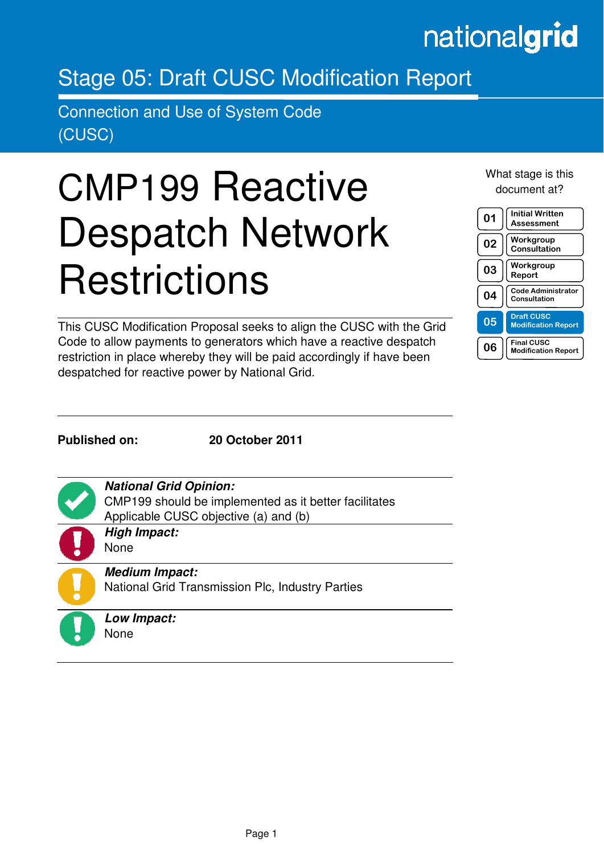## nationalgrid

### Stage 05: Draft CUSC Modification Report

Connection and Use of System Code (CUSC)

# CMP199 Reactive Despatch Network **Restrictions**

This CUSC Modification Proposal seeks to align the CUSC with the Grid Code to allow payments to generators which have a reactive despatch restriction in place whereby they will be paid accordingly if have been despatched for reactive power by National Grid.

What stage is this document at?



**Published on: 20 October 2011** 

in the contract of the contract of the contract of the contract of the contract of the contract of the contract of the contract of the contract of the contract of the contract of the contract of the contract of the contrac

**National Grid Opinion:** 

CMP199 should be implemented as it better facilitates Applicable CUSC objective (a) and (b)

**High Impact:**  None

## **Medium Impact:**

National Grid Transmission Plc, Industry Parties



**Low Impact:**  None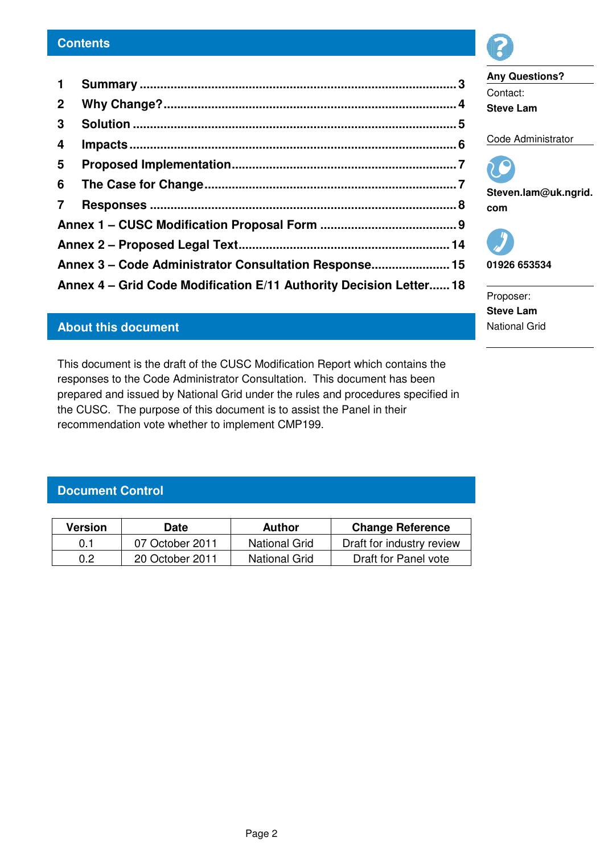| 3 <sup>1</sup>          |                                                                    |  |
|-------------------------|--------------------------------------------------------------------|--|
| $\overline{\mathbf{4}}$ |                                                                    |  |
|                         |                                                                    |  |
|                         |                                                                    |  |
|                         |                                                                    |  |
|                         |                                                                    |  |
|                         |                                                                    |  |
|                         | Annex 3 - Code Administrator Consultation Response 15              |  |
|                         | Annex 4 - Grid Code Modification E/11 Authority Decision Letter 18 |  |

#### **About this document**

This document is the draft of the CUSC Modification Report which contains the responses to the Code Administrator Consultation. This document has been prepared and issued by National Grid under the rules and procedures specified in the CUSC. The purpose of this document is to assist the Panel in their recommendation vote whether to implement CMP199.

#### **Document Control**

| <b>Version</b> | Date            | Author               | <b>Change Reference</b>   |
|----------------|-----------------|----------------------|---------------------------|
| 0.1            | 07 October 2011 | <b>National Grid</b> | Draft for industry review |
| 0.2            | 20 October 2011 | <b>National Grid</b> | Draft for Panel vote      |

Proposer: **Steve Lam**  National Grid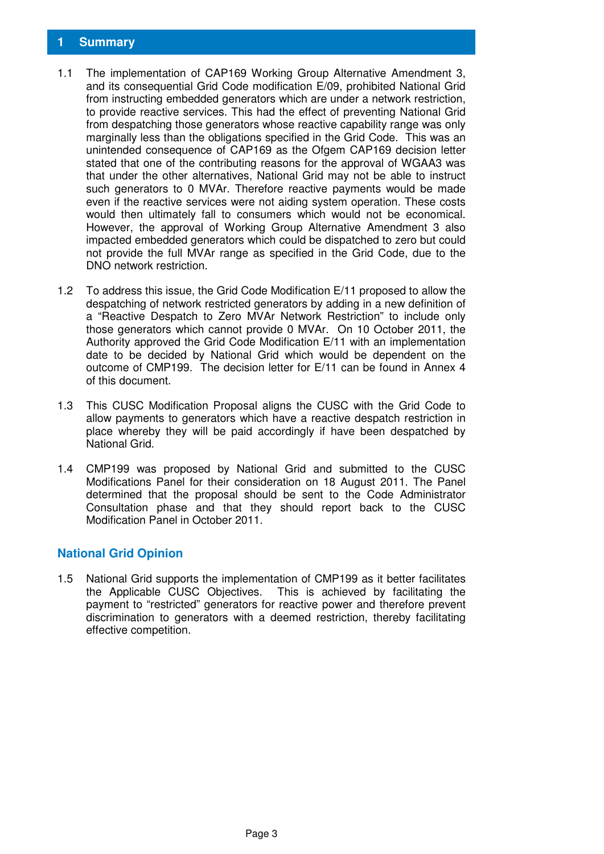- 1.1 The implementation of CAP169 Working Group Alternative Amendment 3, and its consequential Grid Code modification E/09, prohibited National Grid from instructing embedded generators which are under a network restriction, to provide reactive services. This had the effect of preventing National Grid from despatching those generators whose reactive capability range was only marginally less than the obligations specified in the Grid Code. This was an unintended consequence of CAP169 as the Ofgem CAP169 decision letter stated that one of the contributing reasons for the approval of WGAA3 was that under the other alternatives, National Grid may not be able to instruct such generators to 0 MVAr. Therefore reactive payments would be made even if the reactive services were not aiding system operation. These costs would then ultimately fall to consumers which would not be economical. However, the approval of Working Group Alternative Amendment 3 also impacted embedded generators which could be dispatched to zero but could not provide the full MVAr range as specified in the Grid Code, due to the DNO network restriction.
- 1.2 To address this issue, the Grid Code Modification E/11 proposed to allow the despatching of network restricted generators by adding in a new definition of a "Reactive Despatch to Zero MVAr Network Restriction" to include only those generators which cannot provide 0 MVAr. On 10 October 2011, the Authority approved the Grid Code Modification E/11 with an implementation date to be decided by National Grid which would be dependent on the outcome of CMP199. The decision letter for E/11 can be found in Annex 4 of this document.
- 1.3 This CUSC Modification Proposal aligns the CUSC with the Grid Code to allow payments to generators which have a reactive despatch restriction in place whereby they will be paid accordingly if have been despatched by National Grid.
- 1.4 CMP199 was proposed by National Grid and submitted to the CUSC Modifications Panel for their consideration on 18 August 2011. The Panel determined that the proposal should be sent to the Code Administrator Consultation phase and that they should report back to the CUSC Modification Panel in October 2011.

#### **National Grid Opinion**

1.5 National Grid supports the implementation of CMP199 as it better facilitates the Applicable CUSC Objectives. This is achieved by facilitating the payment to "restricted" generators for reactive power and therefore prevent discrimination to generators with a deemed restriction, thereby facilitating effective competition.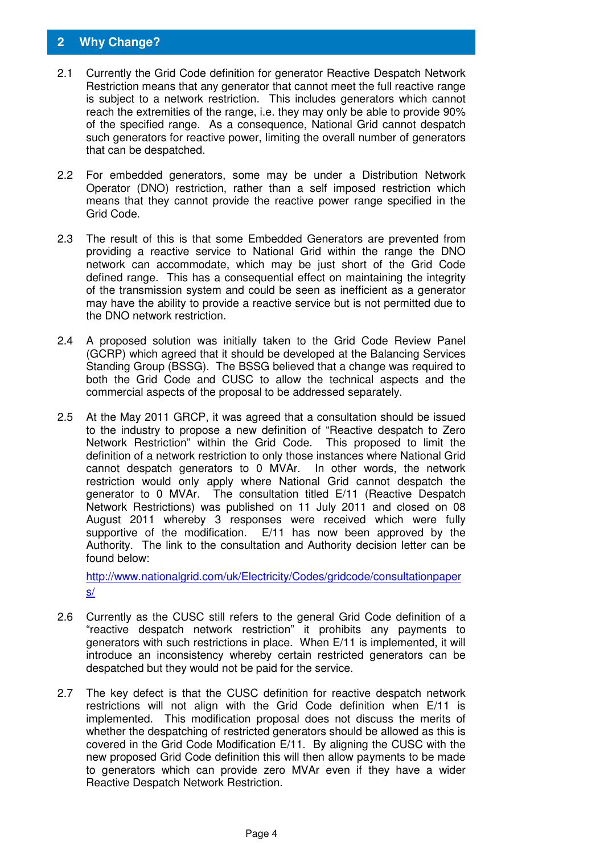#### **2 Why Change?**

- 2.1 Currently the Grid Code definition for generator Reactive Despatch Network Restriction means that any generator that cannot meet the full reactive range is subject to a network restriction. This includes generators which cannot reach the extremities of the range, i.e. they may only be able to provide 90% of the specified range. As a consequence, National Grid cannot despatch such generators for reactive power, limiting the overall number of generators that can be despatched.
- 2.2 For embedded generators, some may be under a Distribution Network Operator (DNO) restriction, rather than a self imposed restriction which means that they cannot provide the reactive power range specified in the Grid Code.
- 2.3 The result of this is that some Embedded Generators are prevented from providing a reactive service to National Grid within the range the DNO network can accommodate, which may be just short of the Grid Code defined range. This has a consequential effect on maintaining the integrity of the transmission system and could be seen as inefficient as a generator may have the ability to provide a reactive service but is not permitted due to the DNO network restriction.
- 2.4 A proposed solution was initially taken to the Grid Code Review Panel (GCRP) which agreed that it should be developed at the Balancing Services Standing Group (BSSG). The BSSG believed that a change was required to both the Grid Code and CUSC to allow the technical aspects and the commercial aspects of the proposal to be addressed separately.
- 2.5 At the May 2011 GRCP, it was agreed that a consultation should be issued to the industry to propose a new definition of "Reactive despatch to Zero Network Restriction" within the Grid Code. This proposed to limit the definition of a network restriction to only those instances where National Grid cannot despatch generators to 0 MVAr. In other words, the network restriction would only apply where National Grid cannot despatch the generator to 0 MVAr. The consultation titled E/11 (Reactive Despatch Network Restrictions) was published on 11 July 2011 and closed on 08 August 2011 whereby 3 responses were received which were fully supportive of the modification. E/11 has now been approved by the Authority. The link to the consultation and Authority decision letter can be found below:

http://www.nationalgrid.com/uk/Electricity/Codes/gridcode/consultationpaper s/

- 2.6 Currently as the CUSC still refers to the general Grid Code definition of a "reactive despatch network restriction" it prohibits any payments to generators with such restrictions in place. When E/11 is implemented, it will introduce an inconsistency whereby certain restricted generators can be despatched but they would not be paid for the service.
- 2.7 The key defect is that the CUSC definition for reactive despatch network restrictions will not align with the Grid Code definition when E/11 is implemented. This modification proposal does not discuss the merits of whether the despatching of restricted generators should be allowed as this is covered in the Grid Code Modification E/11. By aligning the CUSC with the new proposed Grid Code definition this will then allow payments to be made to generators which can provide zero MVAr even if they have a wider Reactive Despatch Network Restriction.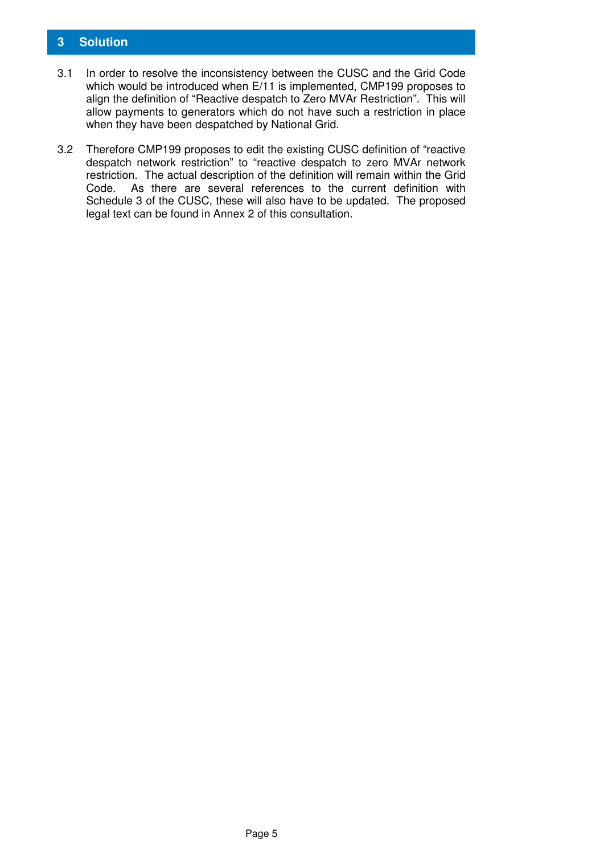#### **3 Solution**

- 3.1 In order to resolve the inconsistency between the CUSC and the Grid Code which would be introduced when E/11 is implemented, CMP199 proposes to align the definition of "Reactive despatch to Zero MVAr Restriction". This will allow payments to generators which do not have such a restriction in place when they have been despatched by National Grid.
- 3.2 Therefore CMP199 proposes to edit the existing CUSC definition of "reactive despatch network restriction" to "reactive despatch to zero MVAr network restriction. The actual description of the definition will remain within the Grid Code. As there are several references to the current definition with Schedule 3 of the CUSC, these will also have to be updated. The proposed legal text can be found in Annex 2 of this consultation.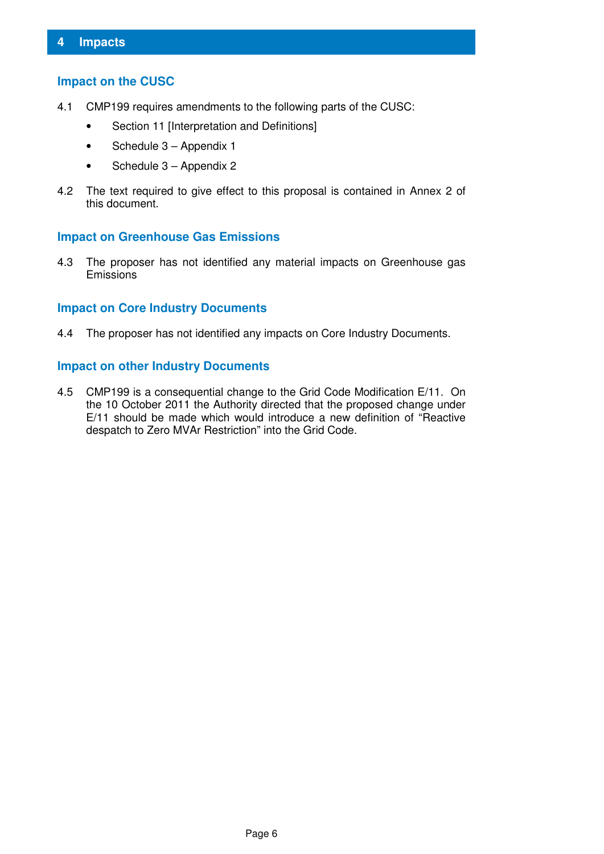#### **Impact on the CUSC**

- 4.1 CMP199 requires amendments to the following parts of the CUSC:
	- Section 11 [Interpretation and Definitions]
	- Schedule 3 Appendix 1
	- Schedule 3 Appendix 2
- 4.2 The text required to give effect to this proposal is contained in Annex 2 of this document.

#### **Impact on Greenhouse Gas Emissions**

4.3 The proposer has not identified any material impacts on Greenhouse gas Emissions

#### **Impact on Core Industry Documents**

4.4 The proposer has not identified any impacts on Core Industry Documents.

#### **Impact on other Industry Documents**

4.5 CMP199 is a consequential change to the Grid Code Modification E/11. On the 10 October 2011 the Authority directed that the proposed change under E/11 should be made which would introduce a new definition of "Reactive despatch to Zero MVAr Restriction" into the Grid Code.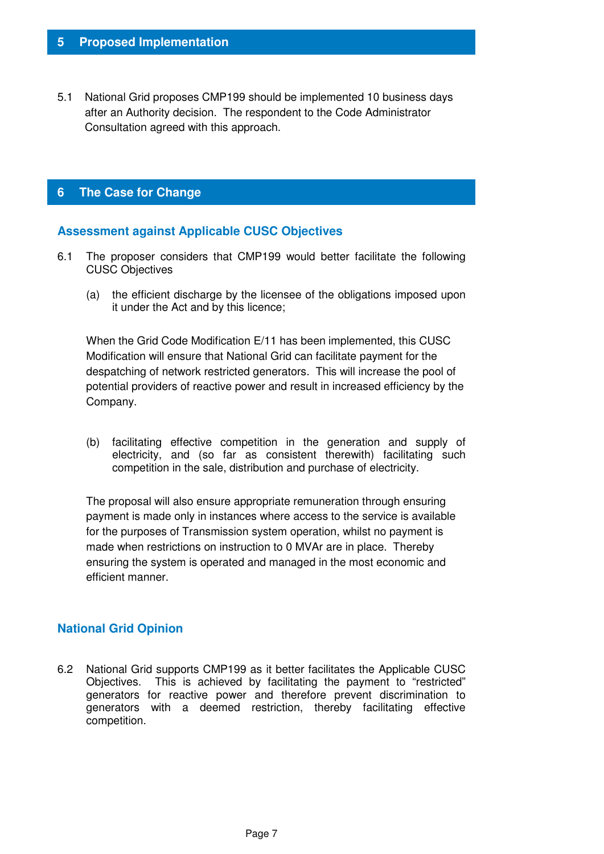5.1 National Grid proposes CMP199 should be implemented 10 business days after an Authority decision. The respondent to the Code Administrator Consultation agreed with this approach.

#### **6 The Case for Change**

#### **Assessment against Applicable CUSC Objectives**

- 6.1 The proposer considers that CMP199 would better facilitate the following CUSC Objectives
	- (a) the efficient discharge by the licensee of the obligations imposed upon it under the Act and by this licence;

When the Grid Code Modification E/11 has been implemented, this CUSC Modification will ensure that National Grid can facilitate payment for the despatching of network restricted generators. This will increase the pool of potential providers of reactive power and result in increased efficiency by the Company.

(b) facilitating effective competition in the generation and supply of electricity, and (so far as consistent therewith) facilitating such competition in the sale, distribution and purchase of electricity.

The proposal will also ensure appropriate remuneration through ensuring payment is made only in instances where access to the service is available for the purposes of Transmission system operation, whilst no payment is made when restrictions on instruction to 0 MVAr are in place. Thereby ensuring the system is operated and managed in the most economic and efficient manner.

#### **National Grid Opinion**

6.2 National Grid supports CMP199 as it better facilitates the Applicable CUSC Objectives. This is achieved by facilitating the payment to "restricted" generators for reactive power and therefore prevent discrimination to generators with a deemed restriction, thereby facilitating effective competition.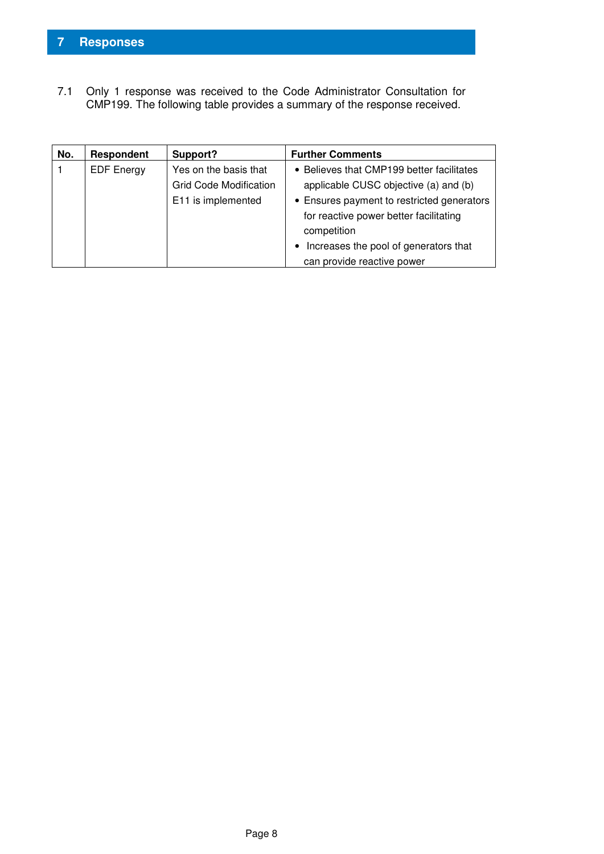7.1 Only 1 response was received to the Code Administrator Consultation for CMP199. The following table provides a summary of the response received.

| No. | Respondent        | Support?                      | <b>Further Comments</b>                    |
|-----|-------------------|-------------------------------|--------------------------------------------|
|     | <b>EDF</b> Energy | Yes on the basis that         | • Believes that CMP199 better facilitates  |
|     |                   | <b>Grid Code Modification</b> | applicable CUSC objective (a) and (b)      |
|     |                   | E11 is implemented            | • Ensures payment to restricted generators |
|     |                   |                               | for reactive power better facilitating     |
|     |                   |                               | competition                                |
|     |                   |                               | Increases the pool of generators that      |
|     |                   |                               | can provide reactive power                 |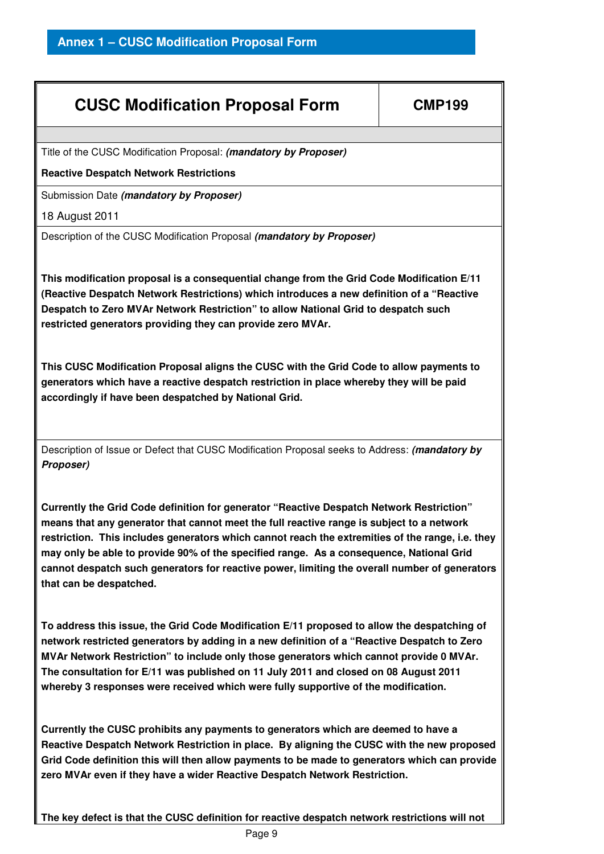| <b>CUSC Modification Proposal Form</b>                                                                                                                                                                                                                                                                                                                                                                                                                                                                           | <b>CMP199</b> |  |
|------------------------------------------------------------------------------------------------------------------------------------------------------------------------------------------------------------------------------------------------------------------------------------------------------------------------------------------------------------------------------------------------------------------------------------------------------------------------------------------------------------------|---------------|--|
|                                                                                                                                                                                                                                                                                                                                                                                                                                                                                                                  |               |  |
| Title of the CUSC Modification Proposal: (mandatory by Proposer)                                                                                                                                                                                                                                                                                                                                                                                                                                                 |               |  |
| <b>Reactive Despatch Network Restrictions</b>                                                                                                                                                                                                                                                                                                                                                                                                                                                                    |               |  |
| Submission Date (mandatory by Proposer)                                                                                                                                                                                                                                                                                                                                                                                                                                                                          |               |  |
| 18 August 2011                                                                                                                                                                                                                                                                                                                                                                                                                                                                                                   |               |  |
| Description of the CUSC Modification Proposal (mandatory by Proposer)                                                                                                                                                                                                                                                                                                                                                                                                                                            |               |  |
| This modification proposal is a consequential change from the Grid Code Modification E/11<br>(Reactive Despatch Network Restrictions) which introduces a new definition of a "Reactive<br>Despatch to Zero MVAr Network Restriction" to allow National Grid to despatch such<br>restricted generators providing they can provide zero MVAr.                                                                                                                                                                      |               |  |
| This CUSC Modification Proposal aligns the CUSC with the Grid Code to allow payments to<br>generators which have a reactive despatch restriction in place whereby they will be paid<br>accordingly if have been despatched by National Grid.                                                                                                                                                                                                                                                                     |               |  |
| Description of Issue or Defect that CUSC Modification Proposal seeks to Address: (mandatory by<br>Proposer)                                                                                                                                                                                                                                                                                                                                                                                                      |               |  |
| Currently the Grid Code definition for generator "Reactive Despatch Network Restriction"<br>means that any generator that cannot meet the full reactive range is subject to a network<br>restriction. This includes generators which cannot reach the extremities of the range, i.e. they<br>may only be able to provide 90% of the specified range. As a consequence, National Grid<br>cannot despatch such generators for reactive power, limiting the overall number of generators<br>that can be despatched. |               |  |
| To address this issue, the Grid Code Modification E/11 proposed to allow the despatching of<br>network restricted generators by adding in a new definition of a "Reactive Despatch to Zero                                                                                                                                                                                                                                                                                                                       |               |  |

**MVAr Network Restriction" to include only those generators which cannot provide 0 MVAr. The consultation for E/11 was published on 11 July 2011 and closed on 08 August 2011 whereby 3 responses were received which were fully supportive of the modification.** 

**Currently the CUSC prohibits any payments to generators which are deemed to have a Reactive Despatch Network Restriction in place. By aligning the CUSC with the new proposed Grid Code definition this will then allow payments to be made to generators which can provide zero MVAr even if they have a wider Reactive Despatch Network Restriction.** 

**The key defect is that the CUSC definition for reactive despatch network restrictions will not**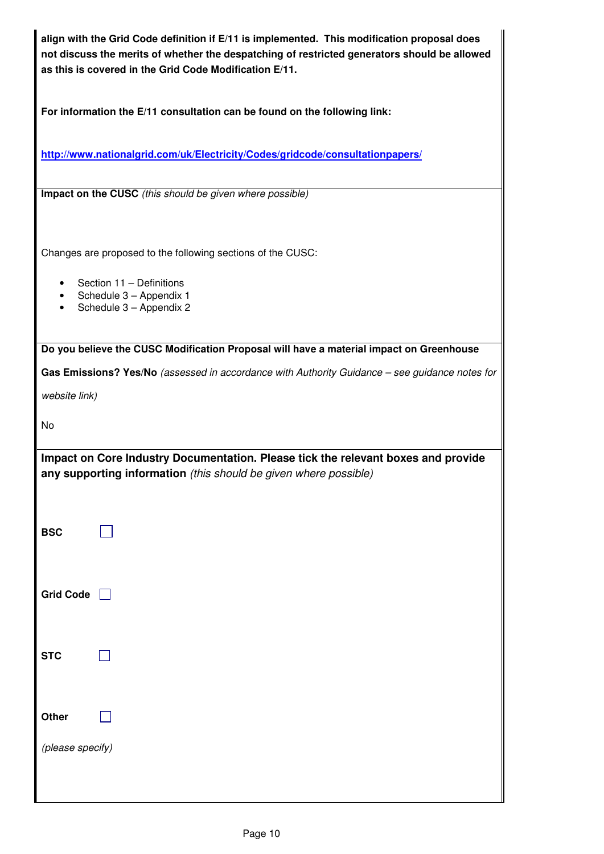| align with the Grid Code definition if E/11 is implemented. This modification proposal does<br>not discuss the merits of whether the despatching of restricted generators should be allowed<br>as this is covered in the Grid Code Modification E/11. |  |  |  |
|-------------------------------------------------------------------------------------------------------------------------------------------------------------------------------------------------------------------------------------------------------|--|--|--|
| For information the E/11 consultation can be found on the following link:                                                                                                                                                                             |  |  |  |
| http://www.nationalgrid.com/uk/Electricity/Codes/gridcode/consultationpapers/                                                                                                                                                                         |  |  |  |
| Impact on the CUSC (this should be given where possible)                                                                                                                                                                                              |  |  |  |
| Changes are proposed to the following sections of the CUSC:                                                                                                                                                                                           |  |  |  |
| Section 11 - Definitions<br>Schedule 3 - Appendix 1<br>Schedule 3 - Appendix 2                                                                                                                                                                        |  |  |  |
| Do you believe the CUSC Modification Proposal will have a material impact on Greenhouse                                                                                                                                                               |  |  |  |
| Gas Emissions? Yes/No (assessed in accordance with Authority Guidance - see guidance notes for<br>website link)                                                                                                                                       |  |  |  |
| No                                                                                                                                                                                                                                                    |  |  |  |
| Impact on Core Industry Documentation. Please tick the relevant boxes and provide<br>any supporting information (this should be given where possible)                                                                                                 |  |  |  |
| <b>BSC</b>                                                                                                                                                                                                                                            |  |  |  |
| <b>Grid Code</b>                                                                                                                                                                                                                                      |  |  |  |
| <b>STC</b>                                                                                                                                                                                                                                            |  |  |  |
| Other                                                                                                                                                                                                                                                 |  |  |  |
| (please specify)                                                                                                                                                                                                                                      |  |  |  |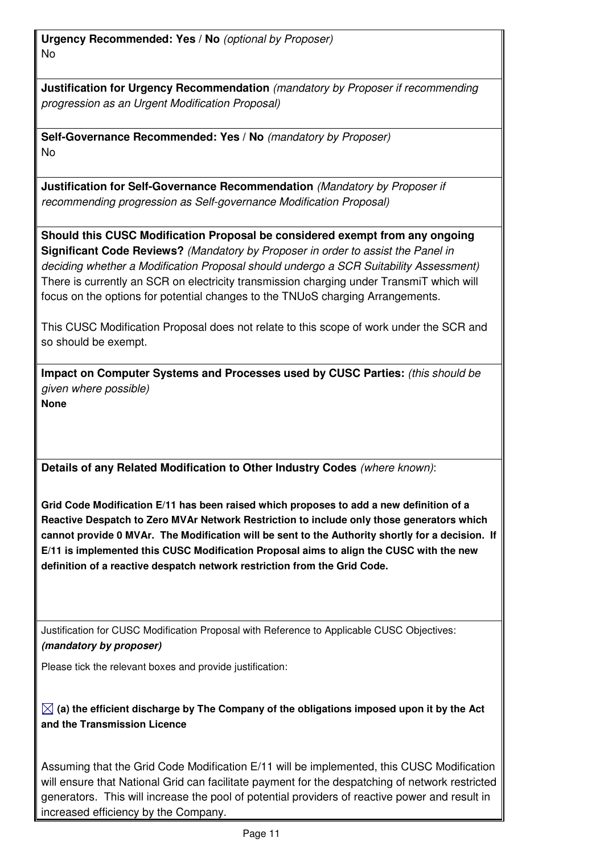**Urgency Recommended: Yes / No** (optional by Proposer) No

**Justification for Urgency Recommendation** (mandatory by Proposer if recommending progression as an Urgent Modification Proposal)

**Self-Governance Recommended: Yes / No** (mandatory by Proposer) No

**Justification for Self-Governance Recommendation** (Mandatory by Proposer if recommending progression as Self-governance Modification Proposal)

**Should this CUSC Modification Proposal be considered exempt from any ongoing Significant Code Reviews?** (Mandatory by Proposer in order to assist the Panel in deciding whether a Modification Proposal should undergo a SCR Suitability Assessment) There is currently an SCR on electricity transmission charging under TransmiT which will focus on the options for potential changes to the TNUoS charging Arrangements.

This CUSC Modification Proposal does not relate to this scope of work under the SCR and so should be exempt.

**Impact on Computer Systems and Processes used by CUSC Parties:** (this should be given where possible) **None** 

**Details of any Related Modification to Other Industry Codes** (where known):

**Grid Code Modification E/11 has been raised which proposes to add a new definition of a Reactive Despatch to Zero MVAr Network Restriction to include only those generators which cannot provide 0 MVAr. The Modification will be sent to the Authority shortly for a decision. If E/11 is implemented this CUSC Modification Proposal aims to align the CUSC with the new definition of a reactive despatch network restriction from the Grid Code.** 

Justification for CUSC Modification Proposal with Reference to Applicable CUSC Objectives: **(mandatory by proposer)**

Please tick the relevant boxes and provide justification:

 $\boxtimes$  (a) the efficient discharge by The Company of the obligations imposed upon it by the Act **and the Transmission Licence** 

Assuming that the Grid Code Modification E/11 will be implemented, this CUSC Modification will ensure that National Grid can facilitate payment for the despatching of network restricted generators. This will increase the pool of potential providers of reactive power and result in increased efficiency by the Company.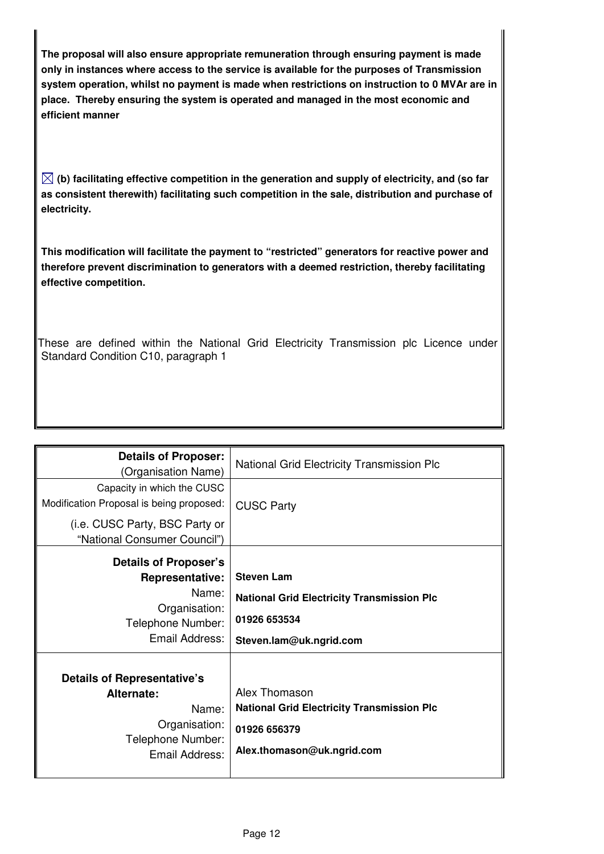**The proposal will also ensure appropriate remuneration through ensuring payment is made only in instances where access to the service is available for the purposes of Transmission system operation, whilst no payment is made when restrictions on instruction to 0 MVAr are in place. Thereby ensuring the system is operated and managed in the most economic and efficient manner**

 $\boxtimes$  (b) facilitating effective competition in the generation and supply of electricity, and (so far **as consistent therewith) facilitating such competition in the sale, distribution and purchase of electricity.** 

**This modification will facilitate the payment to "restricted" generators for reactive power and therefore prevent discrimination to generators with a deemed restriction, thereby facilitating effective competition.** 

These are defined within the National Grid Electricity Transmission plc Licence under Standard Condition C10, paragraph 1

| <b>Details of Proposer:</b><br>(Organisation Name)                                                                                       | National Grid Electricity Transmission Plc                                                                        |
|------------------------------------------------------------------------------------------------------------------------------------------|-------------------------------------------------------------------------------------------------------------------|
| Capacity in which the CUSC<br>Modification Proposal is being proposed:<br>(i.e. CUSC Party, BSC Party or<br>"National Consumer Council") | <b>CUSC Party</b>                                                                                                 |
| Details of Proposer's<br><b>Representative:</b><br>Name:<br>Organisation:<br>Telephone Number:<br>Email Address:                         | <b>Steven Lam</b><br><b>National Grid Electricity Transmission Plc</b><br>01926 653534<br>Steven.lam@uk.ngrid.com |
| <b>Details of Representative's</b><br>Alternate:<br>Name:<br>Organisation:<br>Telephone Number:<br>Email Address:                        | Alex Thomason<br><b>National Grid Electricity Transmission Plc</b><br>01926 656379<br>Alex.thomason@uk.ngrid.com  |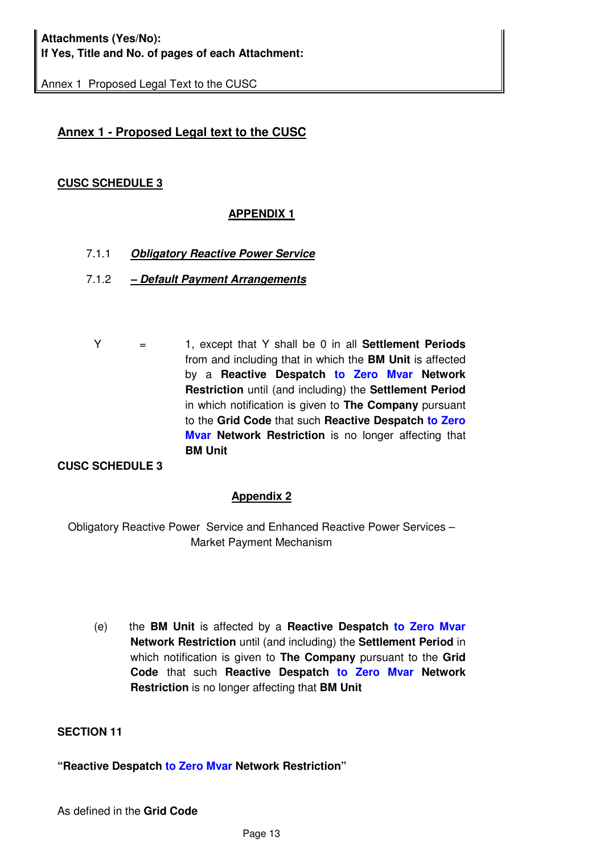Annex 1 Proposed Legal Text to the CUSC

#### **Annex 1 - Proposed Legal text to the CUSC**

#### **CUSC SCHEDULE 3**

#### **APPENDIX 1**

- 7.1.1 **Obligatory Reactive Power Service**
- 7.1.2  **Default Payment Arrangements**
	- Y = 1, except that Y shall be 0 in all **Settlement Periods** from and including that in which the **BM Unit** is affected by a **Reactive Despatch to Zero Mvar Network Restriction** until (and including) the **Settlement Period**  in which notification is given to **The Company** pursuant to the **Grid Code** that such **Reactive Despatch to Zero Mvar Network Restriction** is no longer affecting that **BM Unit**

#### **CUSC SCHEDULE 3**

#### **Appendix 2**

Obligatory Reactive Power Service and Enhanced Reactive Power Services – Market Payment Mechanism

(e) the **BM Unit** is affected by a **Reactive Despatch to Zero Mvar Network Restriction** until (and including) the **Settlement Period** in which notification is given to **The Company** pursuant to the **Grid Code** that such **Reactive Despatch to Zero Mvar Network Restriction** is no longer affecting that **BM Unit** 

#### **SECTION 11**

#### **"Reactive Despatch to Zero Mvar Network Restriction"**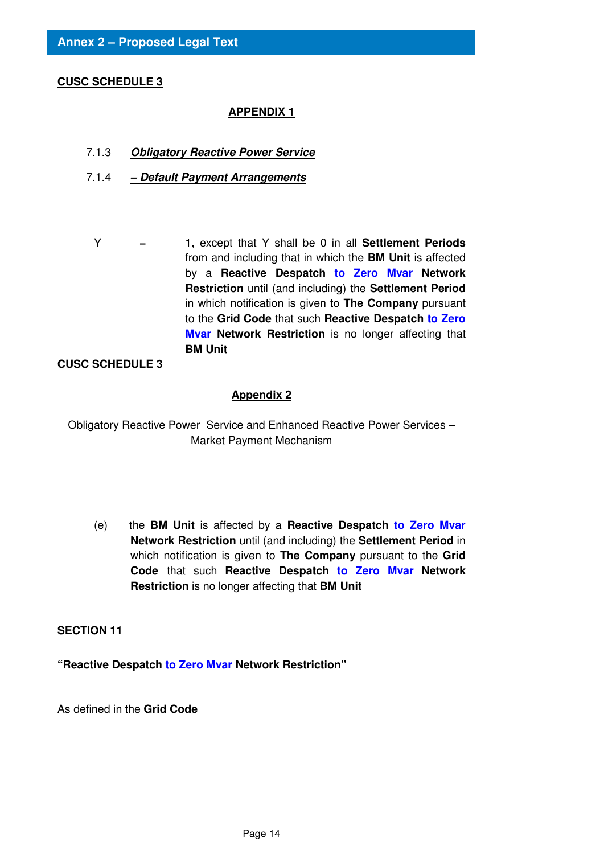#### **CUSC SCHEDULE 3**

#### **APPENDIX 1**

- 7.1.3 **Obligatory Reactive Power Service**
- 7.1.4  **Default Payment Arrangements**
	- Y = 1, except that Y shall be 0 in all **Settlement Periods** from and including that in which the **BM Unit** is affected by a **Reactive Despatch to Zero Mvar Network Restriction** until (and including) the **Settlement Period**  in which notification is given to **The Company** pursuant to the **Grid Code** that such **Reactive Despatch to Zero Mvar Network Restriction** is no longer affecting that **BM Unit**

#### **CUSC SCHEDULE 3**

#### **Appendix 2**

Obligatory Reactive Power Service and Enhanced Reactive Power Services – Market Payment Mechanism

(e) the **BM Unit** is affected by a **Reactive Despatch to Zero Mvar Network Restriction** until (and including) the **Settlement Period** in which notification is given to **The Company** pursuant to the **Grid Code** that such **Reactive Despatch to Zero Mvar Network Restriction** is no longer affecting that **BM Unit** 

#### **SECTION 11**

**"Reactive Despatch to Zero Mvar Network Restriction"** 

As defined in the **Grid Code**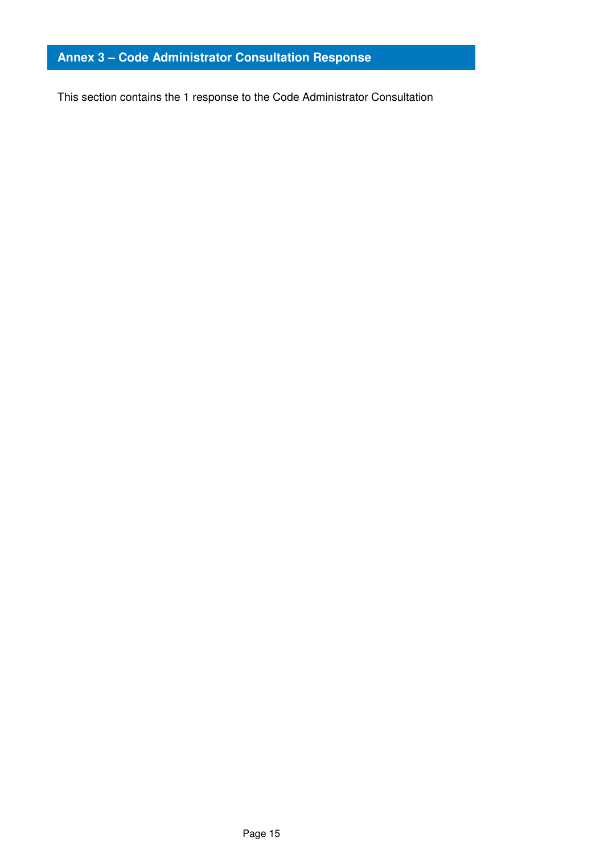#### **Annex 3 – Code Administrator Consultation Response**

This section contains the 1 response to the Code Administrator Consultation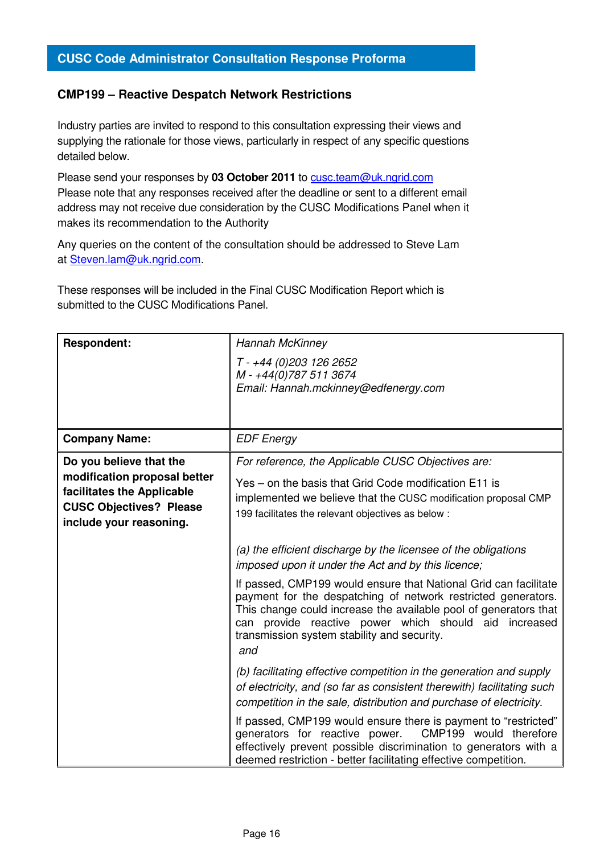#### **CMP199 – Reactive Despatch Network Restrictions**

Industry parties are invited to respond to this consultation expressing their views and supplying the rationale for those views, particularly in respect of any specific questions detailed below.

Please send your responses by **03 October 2011** to cusc.team@uk.ngrid.com Please note that any responses received after the deadline or sent to a different email address may not receive due consideration by the CUSC Modifications Panel when it makes its recommendation to the Authority

Any queries on the content of the consultation should be addressed to Steve Lam at Steven.lam@uk.ngrid.com.

These responses will be included in the Final CUSC Modification Report which is submitted to the CUSC Modifications Panel.

| <b>Respondent:</b>                                                                                                                                 | Hannah McKinney<br>T - +44 (0)203 126 2652<br>M-+44(0)787 511 3674<br>Email: Hannah.mckinney@edfenergy.com                                                                                                                                                                                                                                                                                                                                                                                |  |
|----------------------------------------------------------------------------------------------------------------------------------------------------|-------------------------------------------------------------------------------------------------------------------------------------------------------------------------------------------------------------------------------------------------------------------------------------------------------------------------------------------------------------------------------------------------------------------------------------------------------------------------------------------|--|
| <b>Company Name:</b>                                                                                                                               | <b>EDF Energy</b>                                                                                                                                                                                                                                                                                                                                                                                                                                                                         |  |
| Do you believe that the<br>modification proposal better<br>facilitates the Applicable<br><b>CUSC Objectives? Please</b><br>include your reasoning. | For reference, the Applicable CUSC Objectives are:<br>Yes – on the basis that Grid Code modification E11 is<br>implemented we believe that the CUSC modification proposal CMP<br>199 facilitates the relevant objectives as below :                                                                                                                                                                                                                                                       |  |
|                                                                                                                                                    | (a) the efficient discharge by the licensee of the obligations<br>imposed upon it under the Act and by this licence;<br>If passed, CMP199 would ensure that National Grid can facilitate<br>payment for the despatching of network restricted generators.<br>This change could increase the available pool of generators that<br>provide reactive power which should aid<br>increased<br>can<br>transmission system stability and security.<br>and                                        |  |
|                                                                                                                                                    | (b) facilitating effective competition in the generation and supply<br>of electricity, and (so far as consistent therewith) facilitating such<br>competition in the sale, distribution and purchase of electricity.<br>If passed, CMP199 would ensure there is payment to "restricted"<br>CMP199 would therefore<br>generators for reactive power.<br>effectively prevent possible discrimination to generators with a<br>deemed restriction - better facilitating effective competition. |  |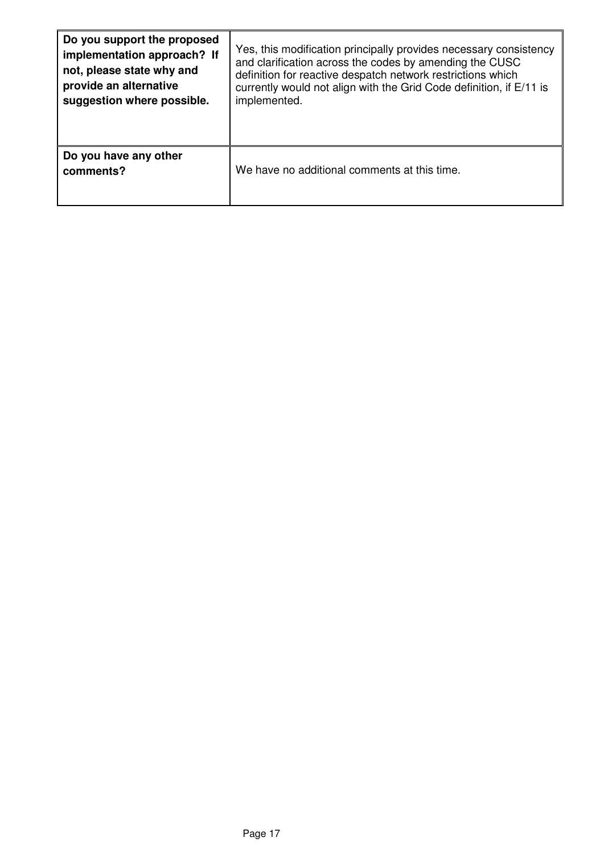| Do you support the proposed        | Yes, this modification principally provides necessary consistency   |  |
|------------------------------------|---------------------------------------------------------------------|--|
| implementation approach? If        | and clarification across the codes by amending the CUSC             |  |
| not, please state why and          | definition for reactive despatch network restrictions which         |  |
| provide an alternative             | currently would not align with the Grid Code definition, if E/11 is |  |
| suggestion where possible.         | implemented.                                                        |  |
| Do you have any other<br>comments? | We have no additional comments at this time.                        |  |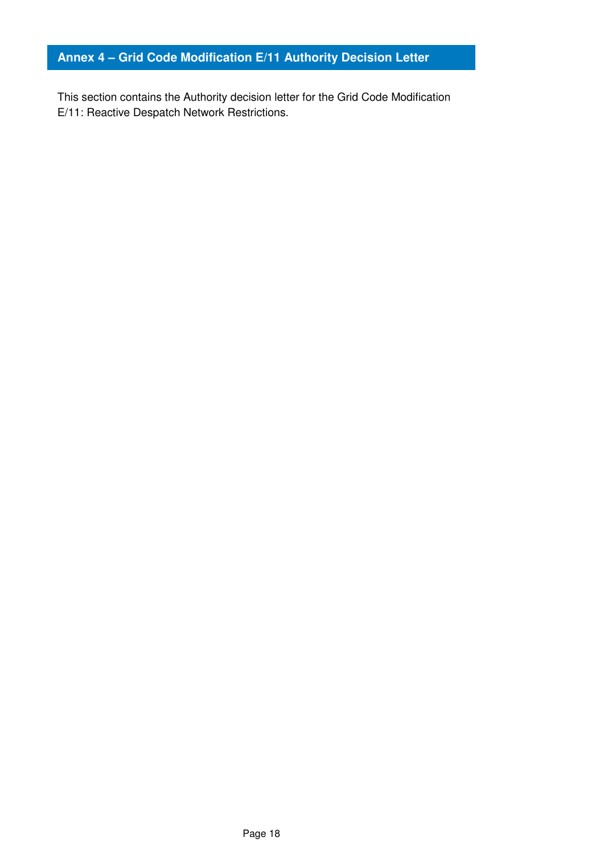#### **Annex 4 – Grid Code Modification E/11 Authority Decision Letter**

This section contains the Authority decision letter for the Grid Code Modification E/11: Reactive Despatch Network Restrictions.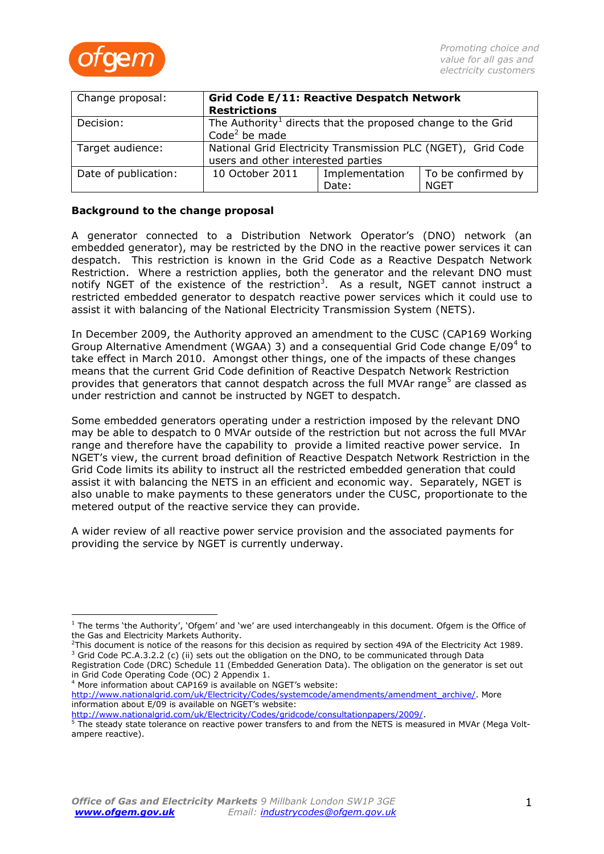

| Change proposal:     | Grid Code E/11: Reactive Despatch Network<br><b>Restrictions</b>                                     |                         |                            |  |
|----------------------|------------------------------------------------------------------------------------------------------|-------------------------|----------------------------|--|
| Decision:            | The Authority <sup>1</sup> directs that the proposed change to the Grid<br>Code <sup>2</sup> be made |                         |                            |  |
| Target audience:     | National Grid Electricity Transmission PLC (NGET), Grid Code<br>users and other interested parties   |                         |                            |  |
| Date of publication: | 10 October 2011                                                                                      | Implementation<br>Date: | To be confirmed by<br>NGET |  |

#### **Background to the change proposal**

A generator connected to a Distribution Network Operator's (DNO) network (an embedded generator), may be restricted by the DNO in the reactive power services it can despatch. This restriction is known in the Grid Code as a Reactive Despatch Network Restriction. Where a restriction applies, both the generator and the relevant DNO must notify NGET of the existence of the restriction<sup>3</sup>. As a result, NGET cannot instruct a restricted embedded generator to despatch reactive power services which it could use to assist it with balancing of the National Electricity Transmission System (NETS).

In December 2009, the Authority approved an amendment to the CUSC (CAP169 Working Group Alternative Amendment (WGAA) 3) and a consequential Grid Code change E/09<sup>4</sup> to take effect in March 2010. Amongst other things, one of the impacts of these changes means that the current Grid Code definition of Reactive Despatch Network Restriction provides that generators that cannot despatch across the full MVAr range<sup>5</sup> are classed as under restriction and cannot be instructed by NGET to despatch.

Some embedded generators operating under a restriction imposed by the relevant DNO may be able to despatch to 0 MVAr outside of the restriction but not across the full MVAr range and therefore have the capability to provide a limited reactive power service. In NGET's view, the current broad definition of Reactive Despatch Network Restriction in the Grid Code limits its ability to instruct all the restricted embedded generation that could assist it with balancing the NETS in an efficient and economic way. Separately, NGET is also unable to make payments to these generators under the CUSC, proportionate to the metered output of the reactive service they can provide.

A wider review of all reactive power service provision and the associated payments for providing the service by NGET is currently underway.

<sup>4</sup> More information about CAP169 is available on NGET's website:

 $\overline{a}$ 

[http://www.nationalgrid.com/uk/Electricity/Codes/systemcode/amendments/amendment\\_archive/.](http://www.nationalgrid.com/uk/Electricity/Codes/systemcode/amendments/amendment_archive/) More information about E/09 is available on NGET's website:

[http://www.nationalgrid.com/uk/Electricity/Codes/gridcode/consultationpapers/2009/.](http://www.nationalgrid.com/uk/Electricity/Codes/gridcode/consultationpapers/2009/)

 $1$  The terms 'the Authority', 'Ofgem' and 'we' are used interchangeably in this document. Ofgem is the Office of the Gas and Electricity Markets Authority.

 $2$ This document is notice of the reasons for this decision as required by section 49A of the Electricity Act 1989. <sup>3</sup> Grid Code PC.A.3.2.2 (c) (ii) sets out the obligation on the DNO, to be communicated through Data

Registration Code (DRC) Schedule 11 (Embedded Generation Data). The obligation on the generator is set out in Grid Code Operating Code (OC) 2 Appendix 1.

<sup>&</sup>lt;sup>5</sup> The steady state tolerance on reactive power transfers to and from the NETS is measured in MVAr (Mega Voltampere reactive).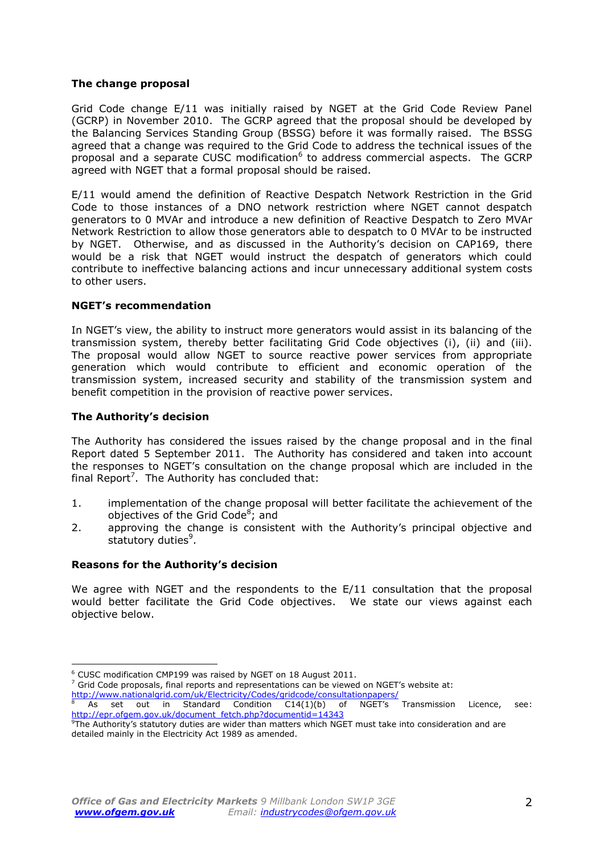#### **The change proposal**

Grid Code change E/11 was initially raised by NGET at the Grid Code Review Panel (GCRP) in November 2010. The GCRP agreed that the proposal should be developed by the Balancing Services Standing Group (BSSG) before it was formally raised. The BSSG agreed that a change was required to the Grid Code to address the technical issues of the proposal and a separate CUSC modification<sup>6</sup> to address commercial aspects. The GCRP agreed with NGET that a formal proposal should be raised.

E/11 would amend the definition of Reactive Despatch Network Restriction in the Grid Code to those instances of a DNO network restriction where NGET cannot despatch generators to 0 MVAr and introduce a new definition of Reactive Despatch to Zero MVAr Network Restriction to allow those generators able to despatch to 0 MVAr to be instructed by NGET. Otherwise, and as discussed in the Authority's decision on CAP169, there would be a risk that NGET would instruct the despatch of generators which could contribute to ineffective balancing actions and incur unnecessary additional system costs to other users.

#### **NGET's recommendation**

In NGET's view, the ability to instruct more generators would assist in its balancing of the transmission system, thereby better facilitating Grid Code objectives (i), (ii) and (iii). The proposal would allow NGET to source reactive power services from appropriate generation which would contribute to efficient and economic operation of the transmission system, increased security and stability of the transmission system and benefit competition in the provision of reactive power services.

#### **The Authority's decision**

The Authority has considered the issues raised by the change proposal and in the final Report dated 5 September 2011. The Authority has considered and taken into account the responses to NGET's consultation on the change proposal which are included in the final Report<sup>7</sup>. The Authority has concluded that:

- 1. implementation of the change proposal will better facilitate the achievement of the objectives of the Grid Code<sup>8</sup>; and
- 2. approving the change is consistent with the Authority's principal objective and statutory duties<sup>9</sup>.

#### **Reasons for the Authority's decision**

We agree with NGET and the respondents to the E/11 consultation that the proposal would better facilitate the Grid Code objectives. We state our views against each objective below.

 $7$  Grid Code proposals, final reports and representations can be viewed on NGET's website at: <http://www.nationalgrid.com/uk/Electricity/Codes/gridcode/consultationpapers/>

<sup>6</sup> CUSC modification CMP199 was raised by NGET on 18 August 2011.

As set out in Standard Condition C14(1)(b) of NGET's Transmission Licence, see: [http://epr.ofgem.gov.uk/document\\_fetch.php?documentid=14343](http://epr.ofgem.gov.uk/document_fetch.php?documentid=14343)

<sup>&</sup>lt;sup>9</sup>The Authority's statutory duties are wider than matters which NGET must take into consideration and are detailed mainly in the Electricity Act 1989 as amended.